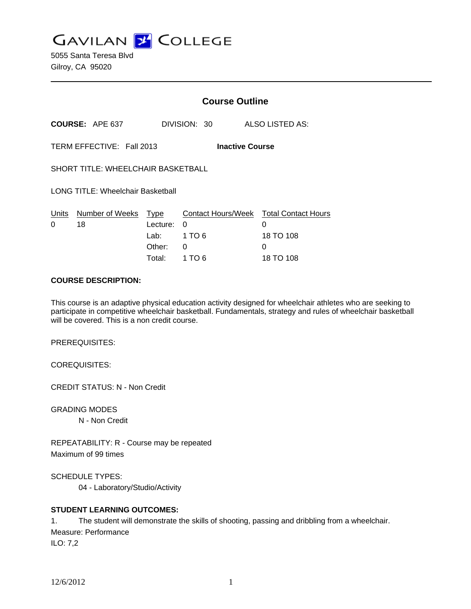**GAVILAN J' COLLEGE** 

5055 Santa Teresa Blvd Gilroy, CA 95020

|                                                     |                        | <b>Course Outline</b> |              |                                             |
|-----------------------------------------------------|------------------------|-----------------------|--------------|---------------------------------------------|
|                                                     | <b>COURSE: APE 637</b> |                       | DIVISION: 30 | ALSO LISTED AS:                             |
| TERM EFFECTIVE: Fall 2013<br><b>Inactive Course</b> |                        |                       |              |                                             |
| SHORT TITLE: WHEELCHAIR BASKETBALL                  |                        |                       |              |                                             |
| <b>LONG TITLE: Wheelchair Basketball</b>            |                        |                       |              |                                             |
| Units<br>$\Omega$                                   | Number of Weeks<br>18  | Type<br>Lecture:      | 0            | Contact Hours/Week Total Contact Hours<br>0 |
|                                                     |                        | Lab:                  | 1 TO 6       | 18 TO 108                                   |
|                                                     |                        | Other:                | 0            | 0                                           |
|                                                     |                        | Total:                | 1 TO 6       | 18 TO 108                                   |

## **COURSE DESCRIPTION:**

This course is an adaptive physical education activity designed for wheelchair athletes who are seeking to participate in competitive wheelchair basketball. Fundamentals, strategy and rules of wheelchair basketball will be covered. This is a non credit course.

PREREQUISITES:

COREQUISITES:

CREDIT STATUS: N - Non Credit

GRADING MODES

N - Non Credit

REPEATABILITY: R - Course may be repeated Maximum of 99 times

SCHEDULE TYPES:

04 - Laboratory/Studio/Activity

# **STUDENT LEARNING OUTCOMES:**

1. The student will demonstrate the skills of shooting, passing and dribbling from a wheelchair. Measure: Performance ILO: 7,2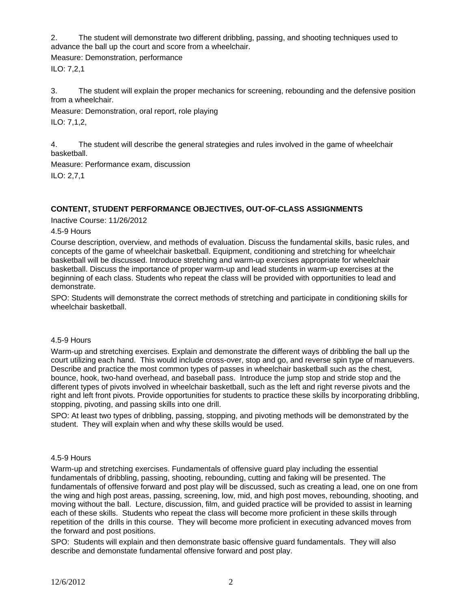2. The student will demonstrate two different dribbling, passing, and shooting techniques used to advance the ball up the court and score from a wheelchair.

Measure: Demonstration, performance ILO: 7,2,1

3. The student will explain the proper mechanics for screening, rebounding and the defensive position from a wheelchair.

Measure: Demonstration, oral report, role playing

ILO: 7,1,2,

4. The student will describe the general strategies and rules involved in the game of wheelchair basketball.

Measure: Performance exam, discussion

ILO: 2,7,1

# **CONTENT, STUDENT PERFORMANCE OBJECTIVES, OUT-OF-CLASS ASSIGNMENTS**

Inactive Course: 11/26/2012

4.5-9 Hours

Course description, overview, and methods of evaluation. Discuss the fundamental skills, basic rules, and concepts of the game of wheelchair basketball. Equipment, conditioning and stretching for wheelchair basketball will be discussed. Introduce stretching and warm-up exercises appropriate for wheelchair basketball. Discuss the importance of proper warm-up and lead students in warm-up exercises at the beginning of each class. Students who repeat the class will be provided with opportunities to lead and demonstrate.

SPO: Students will demonstrate the correct methods of stretching and participate in conditioning skills for wheelchair basketball.

# 4.5-9 Hours

Warm-up and stretching exercises. Explain and demonstrate the different ways of dribbling the ball up the court utilizing each hand. This would include cross-over, stop and go, and reverse spin type of manuevers. Describe and practice the most common types of passes in wheelchair basketball such as the chest, bounce, hook, two-hand overhead, and baseball pass. Introduce the jump stop and stride stop and the different types of pivots involved in wheelchair basketball, such as the left and right reverse pivots and the right and left front pivots. Provide opportunities for students to practice these skills by incorporating dribbling, stopping, pivoting, and passing skills into one drill.

SPO: At least two types of dribbling, passing, stopping, and pivoting methods will be demonstrated by the student. They will explain when and why these skills would be used.

### 4.5-9 Hours

Warm-up and stretching exercises. Fundamentals of offensive guard play including the essential fundamentals of dribbling, passing, shooting, rebounding, cutting and faking will be presented. The fundamentals of offensive forward and post play will be discussed, such as creating a lead, one on one from the wing and high post areas, passing, screening, low, mid, and high post moves, rebounding, shooting, and moving without the ball. Lecture, discussion, film, and guided practice will be provided to assist in learning each of these skills. Students who repeat the class will become more proficient in these skills through repetition of the drills in this course. They will become more proficient in executing advanced moves from the forward and post positions.

SPO: Students will explain and then demonstrate basic offensive guard fundamentals. They will also describe and demonstate fundamental offensive forward and post play.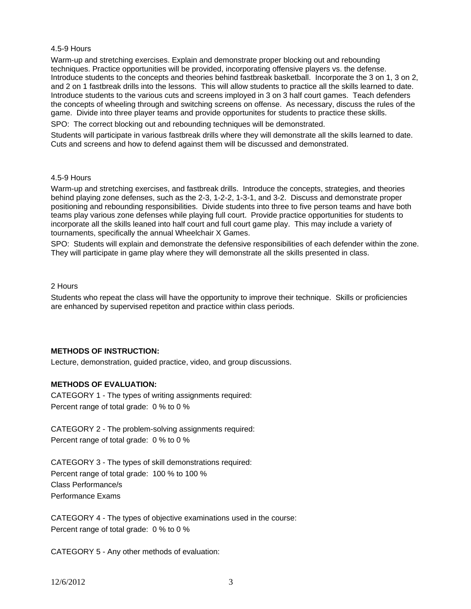### 4.5-9 Hours

Warm-up and stretching exercises. Explain and demonstrate proper blocking out and rebounding techniques. Practice opportunities will be provided, incorporating offensive players vs. the defense. Introduce students to the concepts and theories behind fastbreak basketball. Incorporate the 3 on 1, 3 on 2, and 2 on 1 fastbreak drills into the lessons. This will allow students to practice all the skills learned to date. Introduce students to the various cuts and screens imployed in 3 on 3 half court games. Teach defenders the concepts of wheeling through and switching screens on offense. As necessary, discuss the rules of the game. Divide into three player teams and provide opportunites for students to practice these skills.

SPO: The correct blocking out and rebounding techniques will be demonstrated.

Students will participate in various fastbreak drills where they will demonstrate all the skills learned to date. Cuts and screens and how to defend against them will be discussed and demonstrated.

## 4.5-9 Hours

Warm-up and stretching exercises, and fastbreak drills. Introduce the concepts, strategies, and theories behind playing zone defenses, such as the 2-3, 1-2-2, 1-3-1, and 3-2. Discuss and demonstrate proper positioning and rebounding responsibilities. Divide students into three to five person teams and have both teams play various zone defenses while playing full court. Provide practice opportunities for students to incorporate all the skills leaned into half court and full court game play. This may include a variety of tournaments, specifically the annual Wheelchair X Games.

SPO: Students will explain and demonstrate the defensive responsibilities of each defender within the zone. They will participate in game play where they will demonstrate all the skills presented in class.

#### 2 Hours

Students who repeat the class will have the opportunity to improve their technique. Skills or proficiencies are enhanced by supervised repetiton and practice within class periods.

### **METHODS OF INSTRUCTION:**

Lecture, demonstration, guided practice, video, and group discussions.

### **METHODS OF EVALUATION:**

CATEGORY 1 - The types of writing assignments required: Percent range of total grade: 0 % to 0 %

CATEGORY 2 - The problem-solving assignments required: Percent range of total grade: 0 % to 0 %

CATEGORY 3 - The types of skill demonstrations required: Percent range of total grade: 100 % to 100 % Class Performance/s Performance Exams

CATEGORY 4 - The types of objective examinations used in the course: Percent range of total grade: 0 % to 0 %

CATEGORY 5 - Any other methods of evaluation: